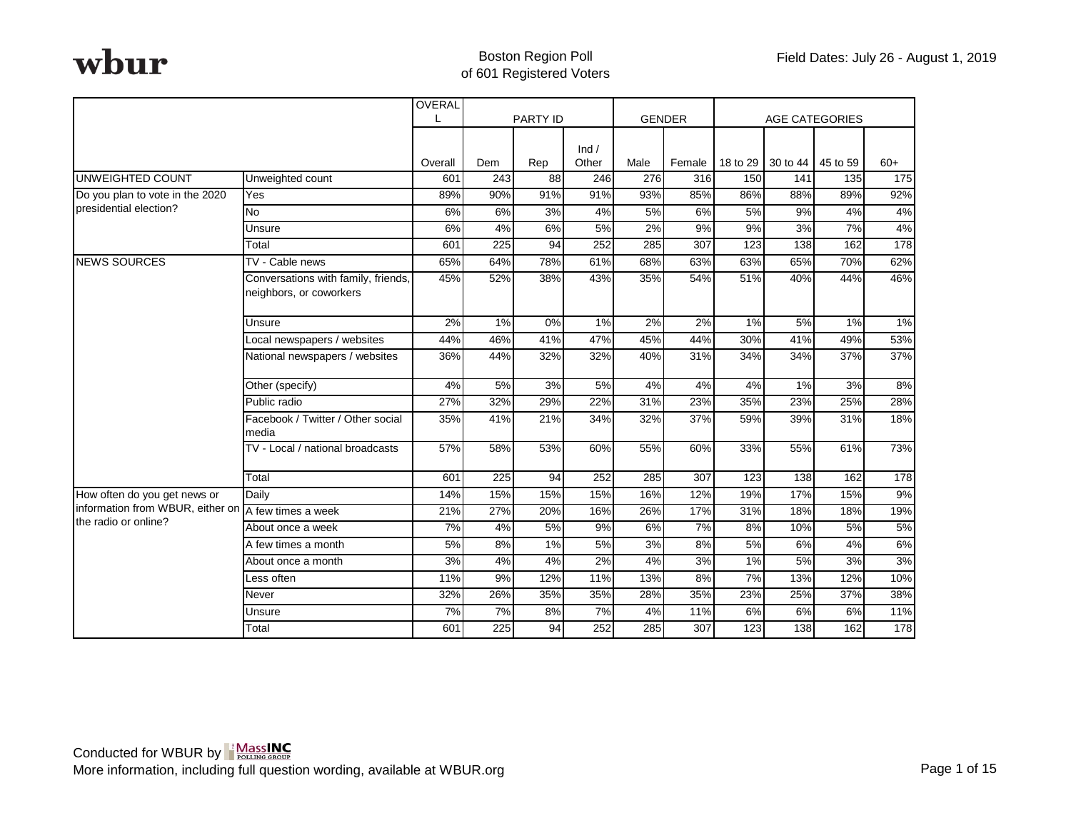|                                  |                                                                | OVERAL  |                  | <b>PARTY ID</b> |       |                  | <b>GENDER</b>    |          | <b>AGE CATEGORIES</b> |                  |       |
|----------------------------------|----------------------------------------------------------------|---------|------------------|-----------------|-------|------------------|------------------|----------|-----------------------|------------------|-------|
|                                  |                                                                |         |                  |                 |       |                  |                  |          |                       |                  |       |
|                                  |                                                                |         |                  |                 | Ind / |                  |                  |          |                       |                  |       |
|                                  |                                                                | Overall | Dem              | Rep             | Other | Male             | Female           | 18 to 29 | 30 to 44 45 to 59     |                  | $60+$ |
| <b>UNWEIGHTED COUNT</b>          | Unweighted count                                               | 601     | $\overline{243}$ | $\overline{88}$ | 246   | $\overline{276}$ | $\overline{316}$ | 150      | 141                   | $\overline{135}$ | 175   |
| Do you plan to vote in the 2020  | Yes                                                            | 89%     | 90%              | 91%             | 91%   | 93%              | 85%              | 86%      | 88%                   | 89%              | 92%   |
| presidential election?           | <b>No</b>                                                      | 6%      | 6%               | 3%              | 4%    | 5%               | 6%               | 5%       | 9%                    | 4%               | 4%    |
|                                  | Unsure                                                         | 6%      | 4%               | 6%              | 5%    | 2%               | 9%               | 9%       | 3%                    | 7%               | 4%    |
|                                  | Total                                                          | 601     | 225              | 94              | 252   | 285              | 307              | 123      | 138                   | 162              | 178   |
| <b>NEWS SOURCES</b>              | TV - Cable news                                                | 65%     | 64%              | 78%             | 61%   | 68%              | 63%              | 63%      | 65%                   | 70%              | 62%   |
|                                  | Conversations with family, friends,<br>neighbors, or coworkers | 45%     | 52%              | 38%             | 43%   | 35%              | 54%              | 51%      | 40%                   | 44%              | 46%   |
|                                  | Unsure                                                         | 2%      | 1%               | 0%              | 1%    | 2%               | 2%               | 1%       | 5%                    | 1%               | 1%    |
|                                  | Local newspapers / websites                                    | 44%     | 46%              | 41%             | 47%   | 45%              | 44%              | 30%      | 41%                   | 49%              | 53%   |
|                                  | National newspapers / websites                                 | 36%     | 44%              | 32%             | 32%   | 40%              | 31%              | 34%      | 34%                   | 37%              | 37%   |
|                                  | Other (specify)                                                | 4%      | 5%               | 3%              | 5%    | 4%               | 4%               | 4%       | 1%                    | 3%               | 8%    |
|                                  | Public radio                                                   | 27%     | 32%              | 29%             | 22%   | 31%              | 23%              | 35%      | 23%                   | 25%              | 28%   |
|                                  | Facebook / Twitter / Other social<br>media                     | 35%     | 41%              | 21%             | 34%   | 32%              | 37%              | 59%      | 39%                   | 31%              | 18%   |
|                                  | TV - Local / national broadcasts                               | 57%     | 58%              | 53%             | 60%   | 55%              | 60%              | 33%      | 55%                   | 61%              | 73%   |
|                                  | Total                                                          | 601     | 225              | 94              | 252   | 285              | 307              | 123      | 138                   | 162              | 178   |
| How often do you get news or     | Daily                                                          | 14%     | 15%              | 15%             | 15%   | 16%              | 12%              | 19%      | 17%                   | 15%              | 9%    |
| information from WBUR, either on | A few times a week                                             | 21%     | 27%              | 20%             | 16%   | 26%              | 17%              | 31%      | 18%                   | 18%              | 19%   |
| the radio or online?             | About once a week                                              | 7%      | 4%               | 5%              | 9%    | 6%               | 7%               | 8%       | 10%                   | 5%               | 5%    |
|                                  | A few times a month                                            | 5%      | 8%               | 1%              | 5%    | 3%               | 8%               | 5%       | 6%                    | 4%               | 6%    |
|                                  | About once a month                                             | 3%      | 4%               | 4%              | 2%    | 4%               | 3%               | 1%       | 5%                    | 3%               | 3%    |
|                                  | Less often                                                     | 11%     | 9%               | 12%             | 11%   | 13%              | 8%               | 7%       | 13%                   | 12%              | 10%   |
|                                  | Never                                                          | 32%     | 26%              | 35%             | 35%   | 28%              | 35%              | 23%      | 25%                   | 37%              | 38%   |
|                                  | Unsure                                                         | 7%      | 7%               | 8%              | 7%    | 4%               | 11%              | 6%       | 6%                    | 6%               | 11%   |
|                                  | Total                                                          | 601     | 225              | 94              | 252   | 285              | 307              | 123      | 138                   | 162              | 178   |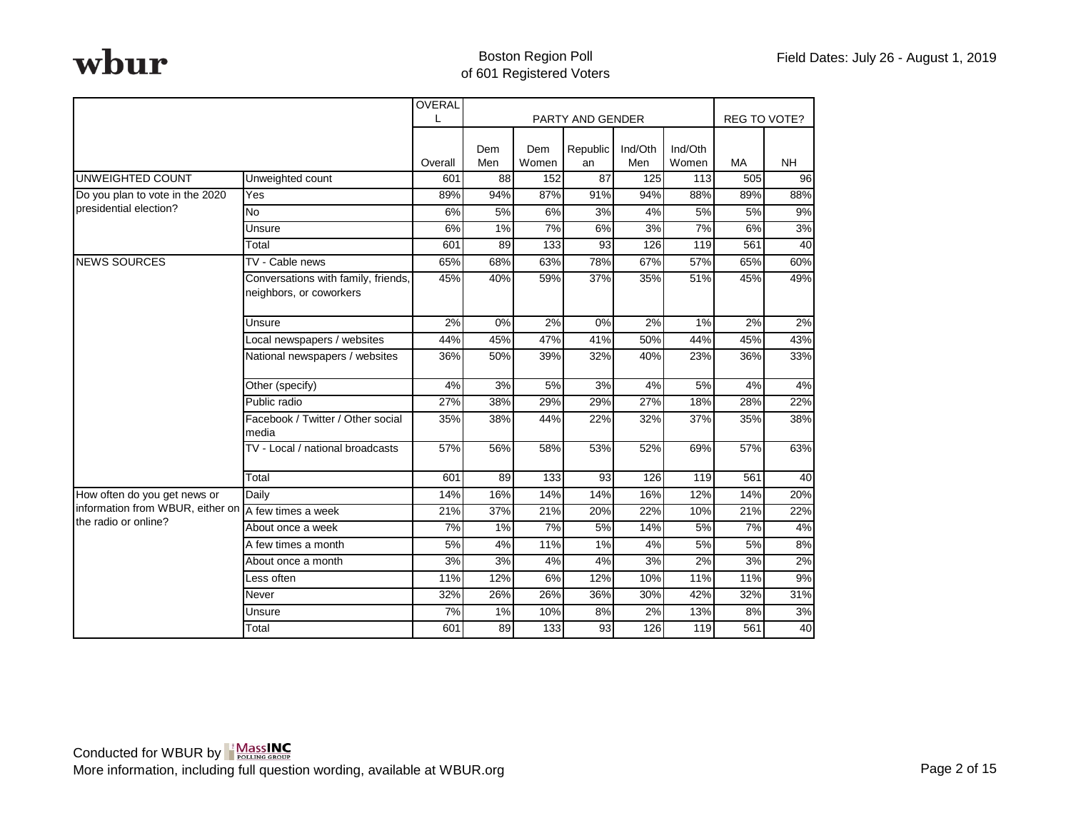|                                  |                                                                | OVERAL       |            |              |                  |                |                  |                     |           |
|----------------------------------|----------------------------------------------------------------|--------------|------------|--------------|------------------|----------------|------------------|---------------------|-----------|
|                                  |                                                                | $\mathbf{L}$ |            |              | PARTY AND GENDER |                |                  | <b>REG TO VOTE?</b> |           |
|                                  |                                                                | Overall      | Dem<br>Men | Dem<br>Women | Republic<br>an   | Ind/Oth<br>Men | Ind/Oth<br>Women | <b>MA</b>           | <b>NH</b> |
| <b>UNWEIGHTED COUNT</b>          | Unweighted count                                               | 601          | 88         | 152          | $\overline{87}$  | 125            | 113              | 505                 | 96        |
| Do you plan to vote in the 2020  | Yes                                                            | 89%          | 94%        | 87%          | 91%              | 94%            | 88%              | 89%                 | 88%       |
| presidential election?           | <b>No</b>                                                      | 6%           | 5%         | 6%           | 3%               | 4%             | 5%               | 5%                  | 9%        |
|                                  | Unsure                                                         | 6%           | 1%         | 7%           | 6%               | 3%             | 7%               | 6%                  | 3%        |
|                                  | Total                                                          | 601          | 89         | 133          | 93               | 126            | 119              | 561                 | 40        |
| <b>NEWS SOURCES</b>              | TV - Cable news                                                | 65%          | 68%        | 63%          | 78%              | 67%            | 57%              | 65%                 | 60%       |
|                                  | Conversations with family, friends,<br>neighbors, or coworkers | 45%          | 40%        | 59%          | 37%              | 35%            | 51%              | 45%                 | 49%       |
|                                  | Unsure                                                         | 2%           | 0%         | 2%           | 0%               | 2%             | 1%               | 2%                  | 2%        |
|                                  | Local newspapers / websites                                    | 44%          | 45%        | 47%          | 41%              | 50%            | 44%              | 45%                 | 43%       |
|                                  | National newspapers / websites                                 | 36%          | 50%        | 39%          | 32%              | 40%            | 23%              | 36%                 | 33%       |
|                                  | Other (specify)                                                | 4%           | 3%         | 5%           | 3%               | 4%             | 5%               | 4%                  | 4%        |
|                                  | Public radio                                                   | 27%          | 38%        | 29%          | 29%              | 27%            | 18%              | 28%                 | 22%       |
|                                  | Facebook / Twitter / Other social<br>media                     | 35%          | 38%        | 44%          | 22%              | 32%            | 37%              | 35%                 | 38%       |
|                                  | TV - Local / national broadcasts                               | 57%          | 56%        | 58%          | 53%              | 52%            | 69%              | 57%                 | 63%       |
|                                  | Total                                                          | 601          | 89         | 133          | 93               | 126            | 119              | 561                 | 40        |
| How often do you get news or     | Daily                                                          | 14%          | 16%        | 14%          | 14%              | 16%            | 12%              | 14%                 | 20%       |
| information from WBUR, either on | A few times a week                                             | 21%          | 37%        | 21%          | 20%              | 22%            | 10%              | 21%                 | 22%       |
| the radio or online?             | About once a week                                              | 7%           | 1%         | 7%           | 5%               | 14%            | 5%               | 7%                  | 4%        |
|                                  | A few times a month                                            | 5%           | 4%         | 11%          | 1%               | 4%             | 5%               | 5%                  | 8%        |
|                                  | About once a month                                             | 3%           | 3%         | 4%           | 4%               | 3%             | 2%               | 3%                  | 2%        |
|                                  | Less often                                                     | 11%          | 12%        | 6%           | 12%              | 10%            | 11%              | 11%                 | 9%        |
|                                  | Never                                                          | 32%          | 26%        | 26%          | 36%              | 30%            | 42%              | 32%                 | 31%       |
|                                  | Unsure                                                         | 7%           | 1%         | 10%          | 8%               | 2%             | 13%              | 8%                  | 3%        |
|                                  | Total                                                          | 601          | 89         | 133          | 93               | 126            | 119              | 561                 | 40        |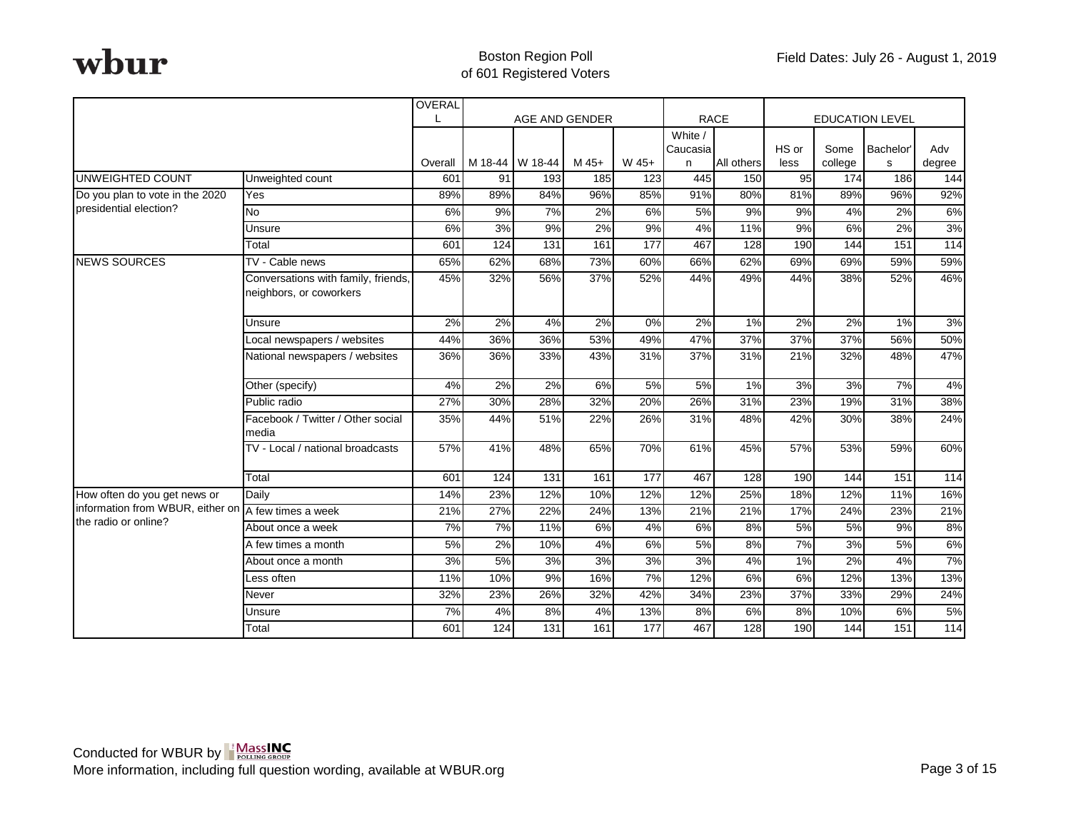|                                                           |                                                                | <b>OVERAL</b>  |               |                |                |              |                     |                   |              |                |                        |                   |
|-----------------------------------------------------------|----------------------------------------------------------------|----------------|---------------|----------------|----------------|--------------|---------------------|-------------------|--------------|----------------|------------------------|-------------------|
|                                                           |                                                                |                |               | AGE AND GENDER |                |              | <b>RACE</b>         |                   |              |                | <b>EDUCATION LEVEL</b> |                   |
|                                                           |                                                                |                |               |                |                |              | White /<br>Caucasia |                   | HS or        | Some           | Bachelor'              | Adv               |
| <b>UNWEIGHTED COUNT</b>                                   | Unweighted count                                               | Overall<br>601 | M 18-44<br>91 | W 18-44<br>193 | $M$ 45+<br>185 | W 45+<br>123 | n<br>445            | All others<br>150 | less<br>95   | college<br>174 | s<br>186               | degree<br>144     |
|                                                           |                                                                | 89%            |               |                |                |              |                     |                   |              |                | 96%                    |                   |
| Do you plan to vote in the 2020<br>presidential election? | Yes                                                            |                | 89%<br>9%     | 84%<br>7%      | 96%<br>2%      | 85%<br>6%    | 91%                 | 80%<br>9%         | 81%<br>$9\%$ | 89%            | 2%                     | 92%<br>6%         |
|                                                           | <b>No</b>                                                      | 6%             |               |                |                |              | 5%                  |                   |              | 4%             |                        |                   |
|                                                           | Unsure                                                         | 6%             | 3%            | 9%             | 2%             | 9%           | 4%                  | 11%               | $9\%$        | 6%             | 2%                     | 3%                |
|                                                           | Total                                                          | 601            | 124           | 131            | 161            | 177          | 467                 | 128               | 190          | 144            | 151                    | $\frac{114}{114}$ |
| <b>NEWS SOURCES</b>                                       | TV - Cable news                                                | 65%            | 62%           | 68%            | 73%            | 60%          | 66%                 | 62%               | 69%          | 69%            | 59%                    | 59%               |
|                                                           | Conversations with family, friends,<br>neighbors, or coworkers | 45%            | 32%           | 56%            | 37%            | 52%          | 44%                 | 49%               | 44%          | 38%            | 52%                    | 46%               |
|                                                           | Unsure                                                         | 2%             | 2%            | 4%             | 2%             | $0\%$        | 2%                  | 1%                | $2\%$        | 2%             | 1%                     | 3%                |
|                                                           | Local newspapers / websites                                    | 44%            | 36%           | 36%            | 53%            | 49%          | 47%                 | 37%               | 37%          | 37%            | 56%                    | 50%               |
|                                                           | National newspapers / websites                                 | 36%            | 36%           | 33%            | 43%            | 31%          | 37%                 | 31%               | 21%          | 32%            | 48%                    | 47%               |
|                                                           | Other (specify)                                                | 4%             | 2%            | 2%             | 6%             | 5%           | 5%                  | $1\%$             | 3%           | 3%             | 7%                     | 4%                |
|                                                           | Public radio                                                   | 27%            | 30%           | 28%            | 32%            | 20%          | 26%                 | 31%               | 23%          | 19%            | 31%                    | 38%               |
|                                                           | Facebook / Twitter / Other social<br>media                     | 35%            | 44%           | 51%            | 22%            | 26%          | 31%                 | 48%               | 42%          | 30%            | 38%                    | 24%               |
|                                                           | TV - Local / national broadcasts                               | 57%            | 41%           | 48%            | 65%            | 70%          | 61%                 | 45%               | 57%          | 53%            | 59%                    | 60%               |
|                                                           | Total                                                          | 601            | 124           | 131            | 161            | 177          | 467                 | 128               | 190          | 144            | 151                    | 114               |
| How often do you get news or                              | Daily                                                          | 14%            | 23%           | 12%            | 10%            | 12%          | 12%                 | 25%               | 18%          | 12%            | 11%                    | 16%               |
| information from WBUR, either on                          | A few times a week                                             | 21%            | 27%           | 22%            | 24%            | 13%          | 21%                 | 21%               | 17%          | 24%            | 23%                    | 21%               |
| the radio or online?                                      | About once a week                                              | 7%             | 7%            | 11%            | 6%             | 4%           | 6%                  | 8%                | 5%           | 5%             | 9%                     | 8%                |
|                                                           | A few times a month                                            | 5%             | 2%            | 10%            | 4%             | 6%           | 5%                  | 8%                | 7%           | 3%             | 5%                     | 6%                |
|                                                           | About once a month                                             | 3%             | 5%            | 3%             | 3%             | 3%           | 3%                  | 4%                | 1%           | 2%             | 4%                     | 7%                |
|                                                           | Less often                                                     | 11%            | 10%           | 9%             | 16%            | 7%           | 12%                 | 6%                | 6%           | 12%            | 13%                    | 13%               |
|                                                           | Never                                                          | 32%            | 23%           | 26%            | 32%            | 42%          | 34%                 | 23%               | 37%          | 33%            | 29%                    | 24%               |
|                                                           | Unsure                                                         | 7%             | 4%            | 8%             | 4%             | 13%          | 8%                  | 6%                | 8%           | 10%            | 6%                     | 5%                |
|                                                           | Total                                                          | 601            | 124           | 131            | 161            | 177          | 467                 | 128               | 190          | 144            | 151                    | 114               |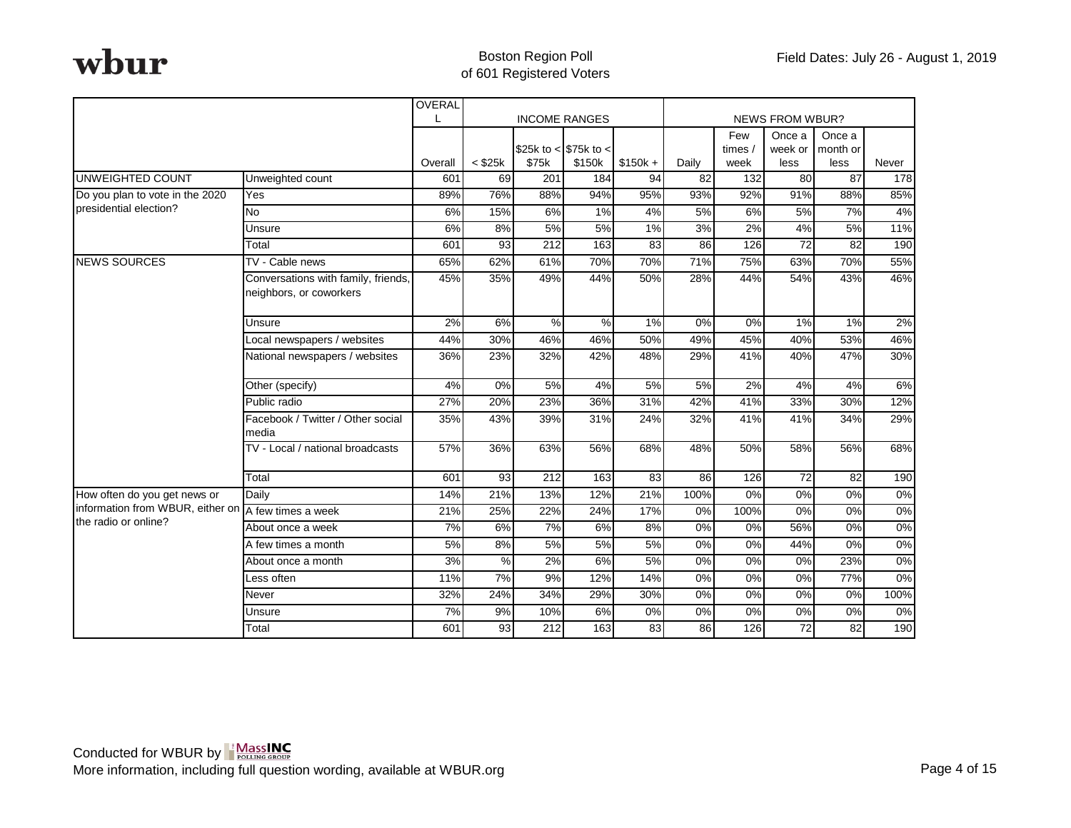|                                                     |                                                                | OVERAL  |              |               | <b>INCOME RANGES</b>  |           |                 |                         | <b>NEWS FROM WBUR?</b> |                    |                  |
|-----------------------------------------------------|----------------------------------------------------------------|---------|--------------|---------------|-----------------------|-----------|-----------------|-------------------------|------------------------|--------------------|------------------|
|                                                     |                                                                |         |              |               | \$25k to < \$75k to < |           |                 | Few<br>times $\sqrt{ }$ | Once a<br>week or      | Once a<br>month or |                  |
|                                                     |                                                                | Overall | $<$ \$25 $k$ | \$75k         | \$150k                | $$150k +$ | Daily           | week                    | less                   | less               | Never            |
| UNWEIGHTED COUNT                                    | Unweighted count                                               | 601     | 69           | 201           | 184                   | 94        | $\overline{82}$ | 132                     | 80                     | $\overline{87}$    | $\overline{178}$ |
| Do you plan to vote in the 2020                     | Yes                                                            | 89%     | 76%          | 88%           | 94%                   | 95%       | 93%             | 92%                     | 91%                    | 88%                | 85%              |
| presidential election?                              | <b>No</b>                                                      | 6%      | 15%          | 6%            | 1%                    | 4%        | 5%              | 6%                      | 5%                     | 7%                 | 4%               |
|                                                     | Unsure                                                         | 6%      | 8%           | 5%            | 5%                    | $1\%$     | 3%              | 2%                      | 4%                     | 5%                 | 11%              |
|                                                     | Total                                                          | 601     | 93           | 212           | 163                   | 83        | 86              | 126                     | 72                     | 82                 | 190              |
| <b>NEWS SOURCES</b>                                 | TV - Cable news                                                | 65%     | 62%          | 61%           | 70%                   | 70%       | 71%             | 75%                     | 63%                    | 70%                | 55%              |
|                                                     | Conversations with family, friends,<br>neighbors, or coworkers | 45%     | 35%          | 49%           | 44%                   | 50%       | 28%             | 44%                     | 54%                    | 43%                | 46%              |
|                                                     | Unsure                                                         | 2%      | 6%           | $\frac{9}{6}$ | $\frac{9}{6}$         | 1%        | $0\%$           | $0\%$                   | 1%                     | $1\%$              | 2%               |
|                                                     | Local newspapers / websites                                    | 44%     | 30%          | 46%           | 46%                   | 50%       | 49%             | 45%                     | 40%                    | 53%                | 46%              |
|                                                     | National newspapers / websites                                 | 36%     | 23%          | 32%           | 42%                   | 48%       | 29%             | 41%                     | 40%                    | 47%                | 30%              |
|                                                     | Other (specify)                                                | 4%      | 0%           | 5%            | 4%                    | 5%        | 5%              | 2%                      | 4%                     | 4%                 | 6%               |
|                                                     | Public radio                                                   | 27%     | 20%          | 23%           | 36%                   | 31%       | 42%             | 41%                     | 33%                    | 30%                | 12%              |
|                                                     | Facebook / Twitter / Other social<br>media                     | 35%     | 43%          | 39%           | 31%                   | 24%       | 32%             | 41%                     | 41%                    | 34%                | 29%              |
|                                                     | TV - Local / national broadcasts                               | 57%     | 36%          | 63%           | 56%                   | 68%       | 48%             | 50%                     | 58%                    | 56%                | 68%              |
|                                                     | Total                                                          | 601     | 93           | 212           | 163                   | 83        | 86              | 126                     | 72                     | 82                 | 190              |
| How often do you get news or                        | Daily                                                          | 14%     | 21%          | 13%           | 12%                   | 21%       | 100%            | 0%                      | 0%                     | 0%                 | 0%               |
| information from WBUR, either on A few times a week |                                                                | 21%     | 25%          | 22%           | 24%                   | 17%       | 0%              | 100%                    | $0\%$                  | $0\%$              | $0\%$            |
| the radio or online?                                | About once a week                                              | 7%      | 6%           | 7%            | 6%                    | 8%        | 0%              | 0%                      | 56%                    | 0%                 | $0\%$            |
|                                                     | A few times a month                                            | 5%      | 8%           | 5%            | 5%                    | 5%        | 0%              | 0%                      | 44%                    | 0%                 | 0%               |
|                                                     | About once a month                                             | 3%      | $\%$         | 2%            | 6%                    | 5%        | 0%              | 0%                      | 0%                     | 23%                | 0%               |
|                                                     | Less often                                                     | 11%     | 7%           | 9%            | 12%                   | 14%       | 0%              | 0%                      | 0%                     | 77%                | 0%               |
|                                                     | Never                                                          | 32%     | 24%          | 34%           | 29%                   | 30%       | 0%              | 0%                      | 0%                     | 0%                 | 100%             |
|                                                     | Unsure                                                         | 7%      | 9%           | 10%           | 6%                    | 0%        | 0%              | 0%                      | 0%                     | 0%                 | $0\%$            |
|                                                     | Total                                                          | 601     | 93           | 212           | 163                   | 83        | 86              | 126                     | 72                     | 82                 | 190              |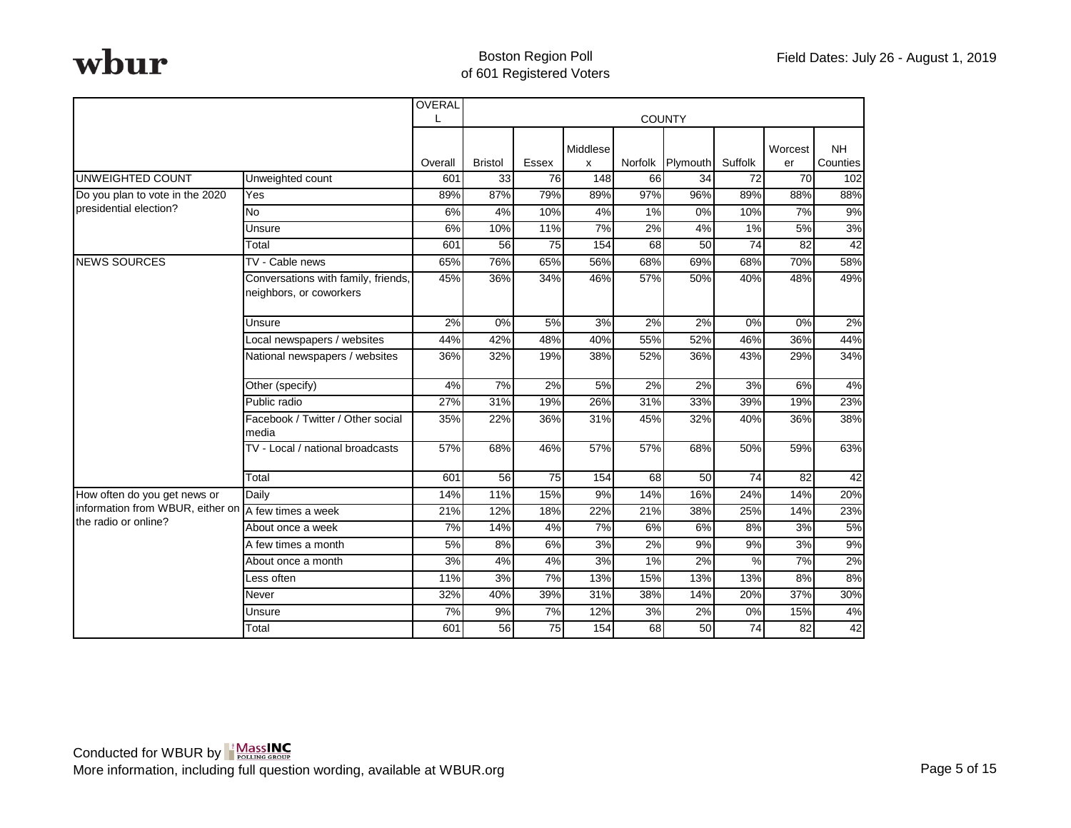|                                  |                                                                | OVERAL  |                |                 |          |         |               |                 |                 |           |
|----------------------------------|----------------------------------------------------------------|---------|----------------|-----------------|----------|---------|---------------|-----------------|-----------------|-----------|
|                                  |                                                                |         |                |                 |          |         | <b>COUNTY</b> |                 |                 |           |
|                                  |                                                                |         |                |                 | Middlese |         |               |                 | Worcest         | <b>NH</b> |
|                                  |                                                                | Overall | <b>Bristol</b> | Essex           | x        | Norfolk | Plymouth      | Suffolk         | er              | Counties  |
| <b>UNWEIGHTED COUNT</b>          | Unweighted count                                               | 601     | 33             | 76              | 148      | 66      | 34            | 72              | 70              | 102       |
| Do you plan to vote in the 2020  | Yes                                                            | 89%     | 87%            | 79%             | 89%      | 97%     | 96%           | 89%             | 88%             | 88%       |
| presidential election?           | <b>No</b>                                                      | 6%      | 4%             | 10%             | 4%       | 1%      | 0%            | 10%             | 7%              | 9%        |
|                                  | Unsure                                                         | 6%      | 10%            | 11%             | 7%       | 2%      | 4%            | 1%              | 5%              | 3%        |
|                                  | Total                                                          | 601     | 56             | $\overline{75}$ | 154      | 68      | 50            | $\overline{74}$ | $\overline{82}$ | 42        |
| <b>NEWS SOURCES</b>              | TV - Cable news                                                | 65%     | 76%            | 65%             | 56%      | 68%     | 69%           | 68%             | 70%             | 58%       |
|                                  | Conversations with family, friends,<br>neighbors, or coworkers | 45%     | 36%            | 34%             | 46%      | 57%     | 50%           | 40%             | 48%             | 49%       |
|                                  | Unsure                                                         | 2%      | 0%             | 5%              | 3%       | 2%      | 2%            | 0%              | 0%              | 2%        |
|                                  | Local newspapers / websites                                    | 44%     | 42%            | 48%             | 40%      | 55%     | 52%           | 46%             | 36%             | 44%       |
|                                  | National newspapers / websites                                 | 36%     | 32%            | 19%             | 38%      | 52%     | 36%           | 43%             | 29%             | 34%       |
|                                  | Other (specify)                                                | 4%      | 7%             | 2%              | 5%       | 2%      | 2%            | 3%              | 6%              | 4%        |
|                                  | Public radio                                                   | 27%     | 31%            | 19%             | 26%      | 31%     | 33%           | 39%             | 19%             | 23%       |
|                                  | Facebook / Twitter / Other social<br>media                     | 35%     | 22%            | 36%             | 31%      | 45%     | 32%           | 40%             | 36%             | 38%       |
|                                  | TV - Local / national broadcasts                               | 57%     | 68%            | 46%             | 57%      | 57%     | 68%           | 50%             | 59%             | 63%       |
|                                  | Total                                                          | 601     | 56             | 75              | 154      | 68      | 50            | 74              | 82              | 42        |
| How often do you get news or     | Daily                                                          | 14%     | 11%            | 15%             | 9%       | 14%     | 16%           | 24%             | 14%             | 20%       |
| information from WBUR, either on | A few times a week                                             | 21%     | 12%            | 18%             | 22%      | 21%     | 38%           | 25%             | 14%             | 23%       |
| the radio or online?             | About once a week                                              | 7%      | 14%            | 4%              | 7%       | 6%      | 6%            | 8%              | 3%              | 5%        |
|                                  | A few times a month                                            | 5%      | 8%             | 6%              | 3%       | 2%      | 9%            | 9%              | 3%              | 9%        |
|                                  | About once a month                                             | 3%      | 4%             | 4%              | 3%       | 1%      | 2%            | $\%$            | 7%              | 2%        |
|                                  | Less often                                                     | 11%     | 3%             | 7%              | 13%      | 15%     | 13%           | 13%             | 8%              | 8%        |
|                                  | Never                                                          | 32%     | 40%            | 39%             | 31%      | 38%     | 14%           | 20%             | 37%             | 30%       |
|                                  | Unsure                                                         | 7%      | 9%             | 7%              | 12%      | 3%      | 2%            | 0%              | 15%             | 4%        |
|                                  | Total                                                          | 601     | 56             | 75              | 154      | 68      | 50            | 74              | 82              | 42        |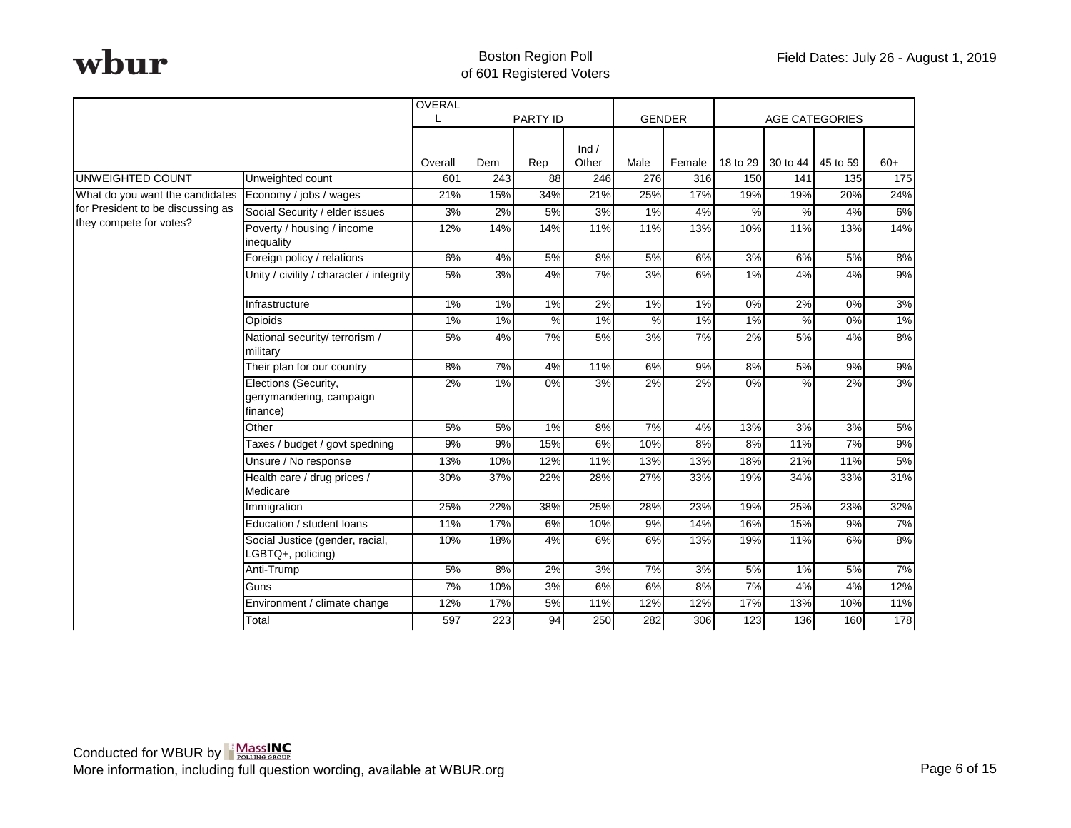|                                   |                                                              | OVERAL  |     |                 |       |       |               |          |                       |                  |       |
|-----------------------------------|--------------------------------------------------------------|---------|-----|-----------------|-------|-------|---------------|----------|-----------------------|------------------|-------|
|                                   |                                                              |         |     | <b>PARTY ID</b> |       |       | <b>GENDER</b> |          | <b>AGE CATEGORIES</b> |                  |       |
|                                   |                                                              |         |     |                 | Ind / |       |               |          |                       |                  |       |
|                                   |                                                              | Overall | Dem | Rep             | Other | Male  | Female        | 18 to 29 | 30 to 44              | 45 to 59         | $60+$ |
| <b>UNWEIGHTED COUNT</b>           | Unweighted count                                             | 601     | 243 | $\overline{88}$ | 246   | 276   | 316           | 150      | $\overline{141}$      | $\overline{135}$ | 175   |
| What do you want the candidates   | Economy / jobs / wages                                       | 21%     | 15% | 34%             | 21%   | 25%   | 17%           | 19%      | 19%                   | 20%              | 24%   |
| for President to be discussing as | Social Security / elder issues                               | 3%      | 2%  | 5%              | 3%    | $1\%$ | 4%            | %        | $\frac{9}{6}$         | 4%               | 6%    |
| they compete for votes?           | Poverty / housing / income<br>inequality                     | 12%     | 14% | 14%             | 11%   | 11%   | 13%           | 10%      | 11%                   | 13%              | 14%   |
|                                   | Foreign policy / relations                                   | 6%      | 4%  | 5%              | 8%    | 5%    | 6%            | 3%       | 6%                    | 5%               | 8%    |
|                                   | Unity / civility / character / integrity                     | 5%      | 3%  | 4%              | 7%    | 3%    | 6%            | 1%       | 4%                    | 4%               | 9%    |
|                                   | Infrastructure                                               | 1%      | 1%  | 1%              | 2%    | 1%    | 1%            | 0%       | 2%                    | 0%               | 3%    |
|                                   | Opioids                                                      | 1%      | 1%  | %               | 1%    | %     | 1%            | 1%       | %                     | 0%               | $1\%$ |
|                                   | National security/ terrorism /<br>military                   | 5%      | 4%  | 7%              | 5%    | 3%    | 7%            | 2%       | 5%                    | 4%               | 8%    |
|                                   | Their plan for our country                                   | 8%      | 7%  | 4%              | 11%   | 6%    | 9%            | 8%       | 5%                    | 9%               | 9%    |
|                                   | Elections (Security,<br>gerrymandering, campaign<br>finance) | 2%      | 1%  | 0%              | 3%    | 2%    | 2%            | 0%       | $\%$                  | 2%               | 3%    |
|                                   | Other                                                        | 5%      | 5%  | 1%              | 8%    | 7%    | 4%            | 13%      | 3%                    | 3%               | 5%    |
|                                   | Taxes / budget / govt spedning                               | 9%      | 9%  | 15%             | 6%    | 10%   | 8%            | 8%       | 11%                   | 7%               | 9%    |
|                                   | Unsure / No response                                         | 13%     | 10% | 12%             | 11%   | 13%   | 13%           | 18%      | 21%                   | 11%              | 5%    |
|                                   | Health care / drug prices /<br>Medicare                      | 30%     | 37% | 22%             | 28%   | 27%   | 33%           | 19%      | 34%                   | 33%              | 31%   |
|                                   | Immigration                                                  | 25%     | 22% | 38%             | 25%   | 28%   | 23%           | 19%      | 25%                   | 23%              | 32%   |
|                                   | Education / student loans                                    | 11%     | 17% | 6%              | 10%   | 9%    | 14%           | 16%      | 15%                   | 9%               | 7%    |
|                                   | Social Justice (gender, racial,<br>LGBTQ+, policing)         | 10%     | 18% | 4%              | 6%    | 6%    | 13%           | 19%      | 11%                   | 6%               | 8%    |
|                                   | Anti-Trump                                                   | 5%      | 8%  | 2%              | 3%    | 7%    | 3%            | 5%       | 1%                    | 5%               | 7%    |
|                                   | Guns                                                         | 7%      | 10% | 3%              | 6%    | 6%    | 8%            | 7%       | 4%                    | 4%               | 12%   |
|                                   | Environment / climate change                                 | 12%     | 17% | 5%              | 11%   | 12%   | 12%           | 17%      | 13%                   | 10%              | 11%   |
|                                   | Total                                                        | 597     | 223 | 94              | 250   | 282   | 306           | 123      | 136                   | 160              | 178   |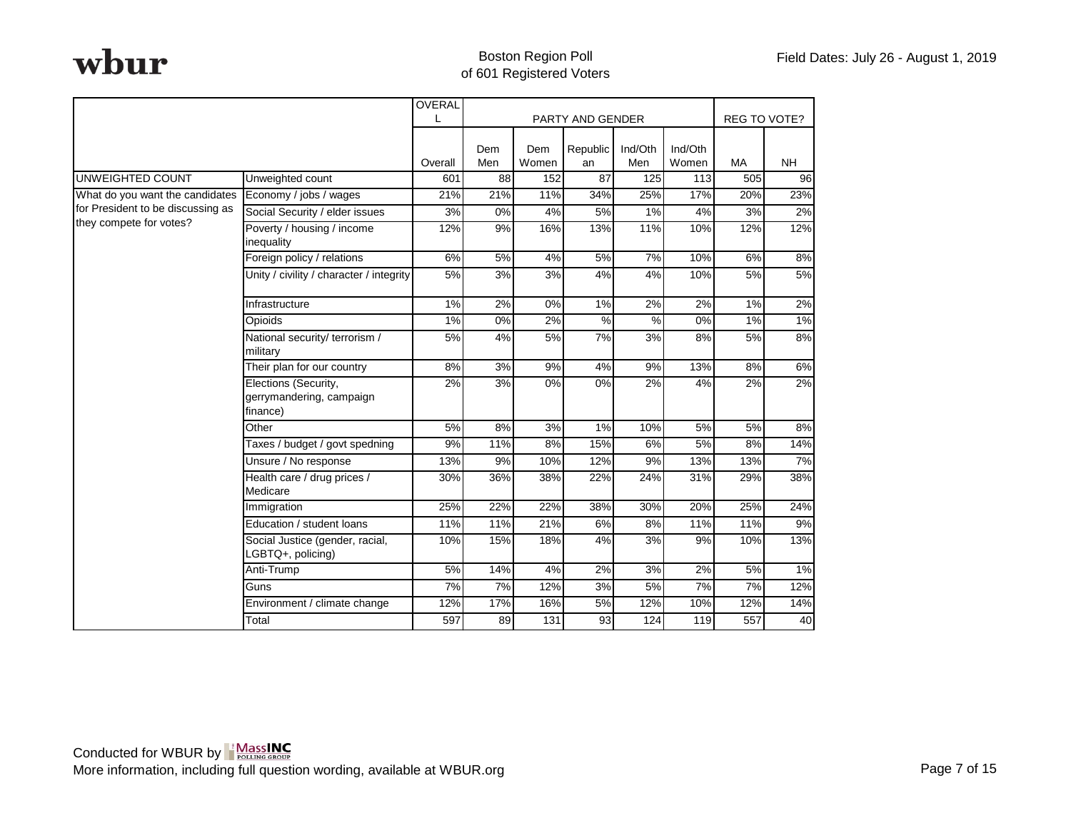|                                   |                                                              | OVERAL  |                 |              |                  |                |                  |           |                     |
|-----------------------------------|--------------------------------------------------------------|---------|-----------------|--------------|------------------|----------------|------------------|-----------|---------------------|
|                                   |                                                              |         |                 |              | PARTY AND GENDER |                |                  |           | <b>REG TO VOTE?</b> |
|                                   |                                                              | Overall | Dem<br>Men      | Dem<br>Women | Republic<br>an   | Ind/Oth<br>Men | Ind/Oth<br>Women | <b>MA</b> | <b>NH</b>           |
| <b>UNWEIGHTED COUNT</b>           | Unweighted count                                             | 601     | $\overline{88}$ | 152          | 87               | 125            | 113              | 505       | 96                  |
| What do you want the candidates   | Economy / jobs / wages                                       | 21%     | 21%             | 11%          | 34%              | 25%            | 17%              | 20%       | 23%                 |
| for President to be discussing as | Social Security / elder issues                               | 3%      | 0%              | 4%           | 5%               | 1%             | 4%               | 3%        | 2%                  |
| they compete for votes?           | Poverty / housing / income<br>inequality                     | 12%     | 9%              | 16%          | 13%              | 11%            | 10%              | 12%       | 12%                 |
|                                   | Foreign policy / relations                                   | 6%      | 5%              | 4%           | 5%               | 7%             | 10%              | 6%        | 8%                  |
|                                   | Unity / civility / character / integrity                     | 5%      | 3%              | 3%           | 4%               | 4%             | 10%              | 5%        | 5%                  |
|                                   | Infrastructure                                               | 1%      | 2%              | 0%           | 1%               | 2%             | 2%               | $1\%$     | 2%                  |
|                                   | Opioids                                                      | $1\%$   | 0%              | 2%           | $\frac{9}{6}$    | $\frac{9}{6}$  | 0%               | 1%        | 1%                  |
|                                   | National security/ terrorism /<br>military                   | 5%      | 4%              | 5%           | 7%               | 3%             | 8%               | 5%        | 8%                  |
|                                   | Their plan for our country                                   | 8%      | 3%              | 9%           | 4%               | 9%             | 13%              | 8%        | 6%                  |
|                                   | Elections (Security,<br>gerrymandering, campaign<br>finance) | 2%      | 3%              | 0%           | 0%               | 2%             | 4%               | 2%        | 2%                  |
|                                   | Other                                                        | 5%      | 8%              | 3%           | 1%               | 10%            | 5%               | 5%        | 8%                  |
|                                   | Taxes / budget / govt spedning                               | 9%      | 11%             | 8%           | 15%              | 6%             | 5%               | 8%        | 14%                 |
|                                   | Unsure / No response                                         | 13%     | 9%              | 10%          | 12%              | 9%             | 13%              | 13%       | 7%                  |
|                                   | Health care / drug prices /<br>Medicare                      | 30%     | 36%             | 38%          | 22%              | 24%            | 31%              | 29%       | 38%                 |
|                                   | Immigration                                                  | 25%     | 22%             | 22%          | 38%              | 30%            | 20%              | 25%       | 24%                 |
|                                   | Education / student loans                                    | 11%     | 11%             | 21%          | 6%               | 8%             | 11%              | 11%       | 9%                  |
|                                   | Social Justice (gender, racial,<br>LGBTQ+, policing)         | 10%     | 15%             | 18%          | 4%               | 3%             | 9%               | 10%       | 13%                 |
|                                   | Anti-Trump                                                   | 5%      | 14%             | 4%           | 2%               | 3%             | 2%               | 5%        | 1%                  |
|                                   | Guns                                                         | 7%      | 7%              | 12%          | 3%               | 5%             | 7%               | 7%        | 12%                 |
|                                   | Environment / climate change                                 | 12%     | 17%             | 16%          | 5%               | 12%            | 10%              | 12%       | 14%                 |
|                                   | Total                                                        | 597     | 89              | 131          | 93               | 124            | 119              | 557       | 40                  |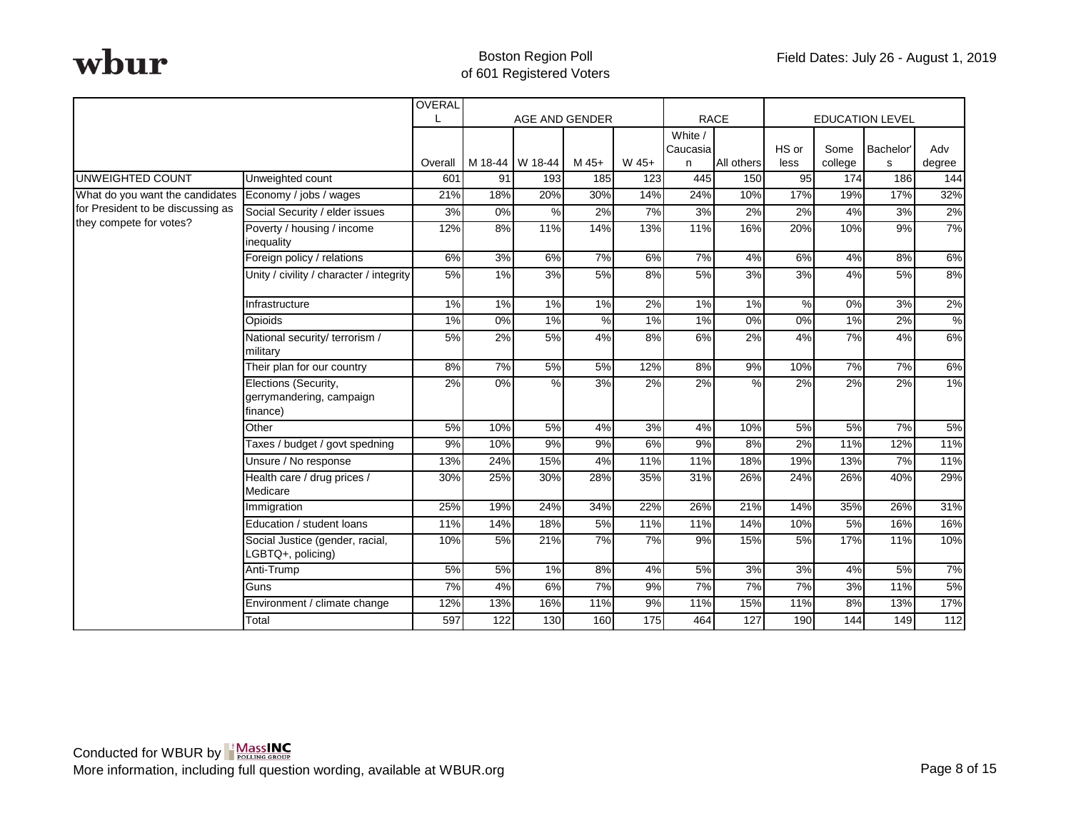|                                   |                                                              | <b>OVERAL</b>  |       |                        |                |              |                     |                   |            |                |                        |                  |
|-----------------------------------|--------------------------------------------------------------|----------------|-------|------------------------|----------------|--------------|---------------------|-------------------|------------|----------------|------------------------|------------------|
|                                   |                                                              |                |       | AGE AND GENDER         |                |              |                     | <b>RACE</b>       |            |                | <b>EDUCATION LEVEL</b> |                  |
|                                   |                                                              |                |       |                        |                |              | White /<br>Caucasia |                   | HS or      | Some           | Bachelor'              | Adv              |
| <b>UNWEIGHTED COUNT</b>           | Unweighted count                                             | Overall<br>601 | 91    | M 18-44 W 18-44<br>193 | $M$ 45+<br>185 | W 45+<br>123 | n<br>445            | All others<br>150 | less<br>95 | college<br>174 | s<br>186               | degree<br>144    |
| What do you want the candidates   | Economy / jobs / wages                                       | 21%            | 18%   | 20%                    | 30%            | 14%          | 24%                 | 10%               | 17%        | 19%            | 17%                    | 32%              |
| for President to be discussing as | Social Security / elder issues                               | 3%             | 0%    | $\frac{8}{2}$          | 2%             | 7%           | 3%                  | 2%                | 2%         | 4%             | 3%                     | 2%               |
| they compete for votes?           | Poverty / housing / income                                   | 12%            | 8%    | 11%                    | 14%            | 13%          | 11%                 | 16%               | 20%        | 10%            | 9%                     | 7%               |
|                                   | inequality                                                   |                |       |                        |                |              |                     |                   |            |                |                        |                  |
|                                   | Foreign policy / relations                                   | 6%             | 3%    | 6%                     | 7%             | 6%           | 7%                  | 4%                | 6%         | 4%             | 8%                     | 6%               |
|                                   | Unity / civility / character / integrity                     | 5%             | 1%    | 3%                     | 5%             | 8%           | 5%                  | 3%                | 3%         | 4%             | 5%                     | 8%               |
|                                   | Infrastructure                                               | $1\%$          | $1\%$ | $1\%$                  | $1\%$          | 2%           | $1\%$               | $1\%$             | %          | $0\%$          | 3%                     | 2%               |
|                                   | Opioids                                                      | 1%             | 0%    | 1%                     | $\%$           | 1%           | 1%                  | 0%                | 0%         | 1%             | 2%                     | %                |
|                                   | National security/ terrorism /<br>military                   | 5%             | 2%    | 5%                     | 4%             | 8%           | 6%                  | 2%                | 4%         | 7%             | 4%                     | 6%               |
|                                   | Their plan for our country                                   | 8%             | 7%    | 5%                     | 5%             | 12%          | 8%                  | 9%                | 10%        | 7%             | 7%                     | 6%               |
|                                   | Elections (Security,<br>gerrymandering, campaign<br>finance) | 2%             | 0%    | $\%$                   | 3%             | 2%           | 2%                  | %                 | 2%         | 2%             | 2%                     | 1%               |
|                                   | Other                                                        | 5%             | 10%   | 5%                     | 4%             | 3%           | 4%                  | 10%               | 5%         | 5%             | 7%                     | 5%               |
|                                   | Taxes / budget / govt spedning                               | 9%             | 10%   | 9%                     | 9%             | 6%           | 9%                  | 8%                | 2%         | 11%            | 12%                    | 11%              |
|                                   | Unsure / No response                                         | 13%            | 24%   | 15%                    | 4%             | 11%          | 11%                 | 18%               | 19%        | 13%            | 7%                     | 11%              |
|                                   | Health care / drug prices /<br>Medicare                      | 30%            | 25%   | 30%                    | 28%            | 35%          | 31%                 | 26%               | 24%        | 26%            | 40%                    | 29%              |
|                                   | Immigration                                                  | 25%            | 19%   | 24%                    | 34%            | 22%          | 26%                 | 21%               | 14%        | 35%            | 26%                    | 31%              |
|                                   | Education / student loans                                    | 11%            | 14%   | 18%                    | $5\%$          | 11%          | 11%                 | 14%               | 10%        | 5%             | 16%                    | 16%              |
|                                   | Social Justice (gender, racial,<br>LGBTQ+, policing)         | 10%            | 5%    | 21%                    | 7%             | 7%           | 9%                  | 15%               | 5%         | 17%            | 11%                    | 10%              |
|                                   | Anti-Trump                                                   | 5%             | 5%    | 1%                     | 8%             | 4%           | 5%                  | 3%                | 3%         | 4%             | 5%                     | 7%               |
|                                   | Guns                                                         | 7%             | 4%    | 6%                     | 7%             | 9%           | 7%                  | 7%                | 7%         | 3%             | 11%                    | 5%               |
|                                   | Environment / climate change                                 | 12%            | 13%   | 16%                    | 11%            | 9%           | 11%                 | 15%               | 11%        | 8%             | 13%                    | 17%              |
|                                   | Total                                                        | 597            | 122   | 130                    | 160            | 175          | 464                 | 127               | 190        | 144            | 149                    | $\overline{112}$ |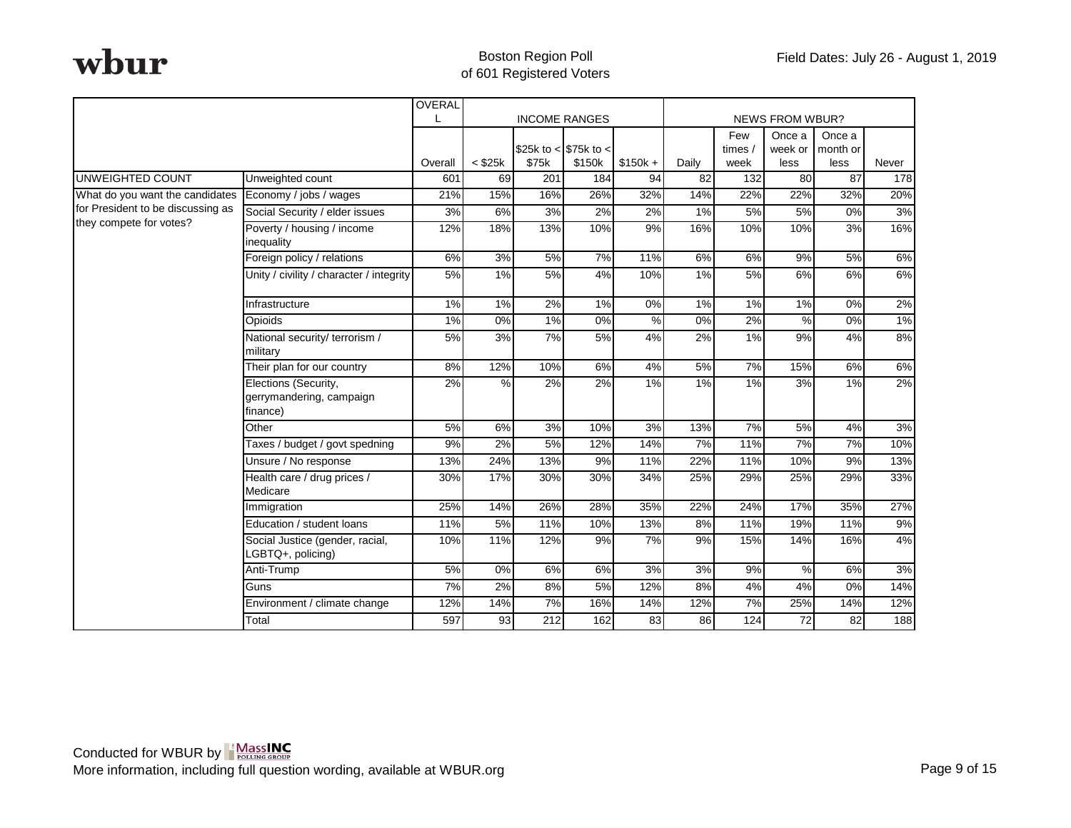|                                   |                                                              | <b>OVERAL</b> |                  |                  |                        |               |                 |                  |                        |                    |       |
|-----------------------------------|--------------------------------------------------------------|---------------|------------------|------------------|------------------------|---------------|-----------------|------------------|------------------------|--------------------|-------|
|                                   |                                                              |               |                  |                  | <b>INCOME RANGES</b>   |               |                 |                  | <b>NEWS FROM WBUR?</b> |                    |       |
|                                   |                                                              |               |                  |                  | \$25k to < $$75k$ to < |               |                 | Few<br>times/    | Once a<br>week or      | Once a<br>month or |       |
|                                   |                                                              | Overall       | $<$ \$25 $k$     | \$75k            | \$150k                 | $$150k +$     | Daily           | week             | less                   | less               | Never |
| <b>UNWEIGHTED COUNT</b>           | Unweighted count                                             | 601           | 69               | $\overline{201}$ | 184                    | 94            | $\overline{82}$ | $\overline{132}$ | 80                     | $\overline{87}$    | 178   |
| What do you want the candidates   | Economy / jobs / wages                                       | 21%           | 15%              | 16%              | 26%                    | 32%           | 14%             | 22%              | 22%                    | 32%                | 20%   |
| for President to be discussing as | Social Security / elder issues                               | 3%            | 6%               | 3%               | 2%                     | 2%            | $1\%$           | 5%               | 5%                     | $0\%$              | 3%    |
| they compete for votes?           | Poverty / housing / income<br>inequality                     | 12%           | 18%              | 13%              | 10%                    | 9%            | 16%             | 10%              | 10%                    | 3%                 | 16%   |
|                                   | Foreign policy / relations                                   | 6%            | $\overline{3\%}$ | 5%               | 7%                     | 11%           | 6%              | 6%               | $9\%$                  | 5%                 | 6%    |
|                                   | Unity / civility / character / integrity                     | 5%            | $1\%$            | 5%               | 4%                     | 10%           | $1\%$           | 5%               | 6%                     | 6%                 | 6%    |
|                                   | Infrastructure                                               | 1%            | 1%               | 2%               | 1%                     | 0%            | 1%              | 1%               | 1%                     | 0%                 | 2%    |
|                                   | Opioids                                                      | 1%            | 0%               | 1%               | 0%                     | $\frac{0}{0}$ | 0%              | 2%               | %                      | 0%                 | $1\%$ |
|                                   | National security/ terrorism /<br>military                   | 5%            | 3%               | 7%               | 5%                     | 4%            | 2%              | 1%               | 9%                     | 4%                 | 8%    |
|                                   | Their plan for our country                                   | 8%            | 12%              | 10%              | 6%                     | 4%            | 5%              | 7%               | 15%                    | 6%                 | 6%    |
|                                   | Elections (Security,<br>gerrymandering, campaign<br>finance) | 2%            | %                | 2%               | 2%                     | 1%            | 1%              | 1%               | 3%                     | 1%                 | 2%    |
|                                   | Other                                                        | 5%            | 6%               | 3%               | 10%                    | 3%            | 13%             | 7%               | 5%                     | 4%                 | 3%    |
|                                   | Taxes / budget / govt spedning                               | 9%            | 2%               | 5%               | 12%                    | 14%           | 7%              | 11%              | 7%                     | 7%                 | 10%   |
|                                   | Unsure / No response                                         | 13%           | 24%              | 13%              | 9%                     | 11%           | 22%             | 11%              | 10%                    | 9%                 | 13%   |
|                                   | Health care / drug prices /<br>Medicare                      | 30%           | 17%              | 30%              | 30%                    | 34%           | 25%             | 29%              | 25%                    | 29%                | 33%   |
|                                   | Immigration                                                  | 25%           | 14%              | 26%              | 28%                    | 35%           | 22%             | 24%              | 17%                    | 35%                | 27%   |
|                                   | Education / student loans                                    | 11%           | 5%               | 11%              | 10%                    | 13%           | 8%              | 11%              | 19%                    | 11%                | 9%    |
|                                   | Social Justice (gender, racial,<br>LGBTQ+, policing)         | 10%           | 11%              | 12%              | 9%                     | 7%            | 9%              | 15%              | 14%                    | 16%                | 4%    |
|                                   | Anti-Trump                                                   | 5%            | 0%               | 6%               | 6%                     | 3%            | 3%              | 9%               | $\%$                   | 6%                 | 3%    |
|                                   | Guns                                                         | 7%            | 2%               | 8%               | 5%                     | 12%           | 8%              | 4%               | 4%                     | 0%                 | 14%   |
|                                   | Environment / climate change                                 | 12%           | 14%              | 7%               | 16%                    | 14%           | 12%             | 7%               | 25%                    | 14%                | 12%   |
|                                   | Total                                                        | 597           | 93               | 212              | 162                    | 83            | 86              | 124              | 72                     | 82                 | 188   |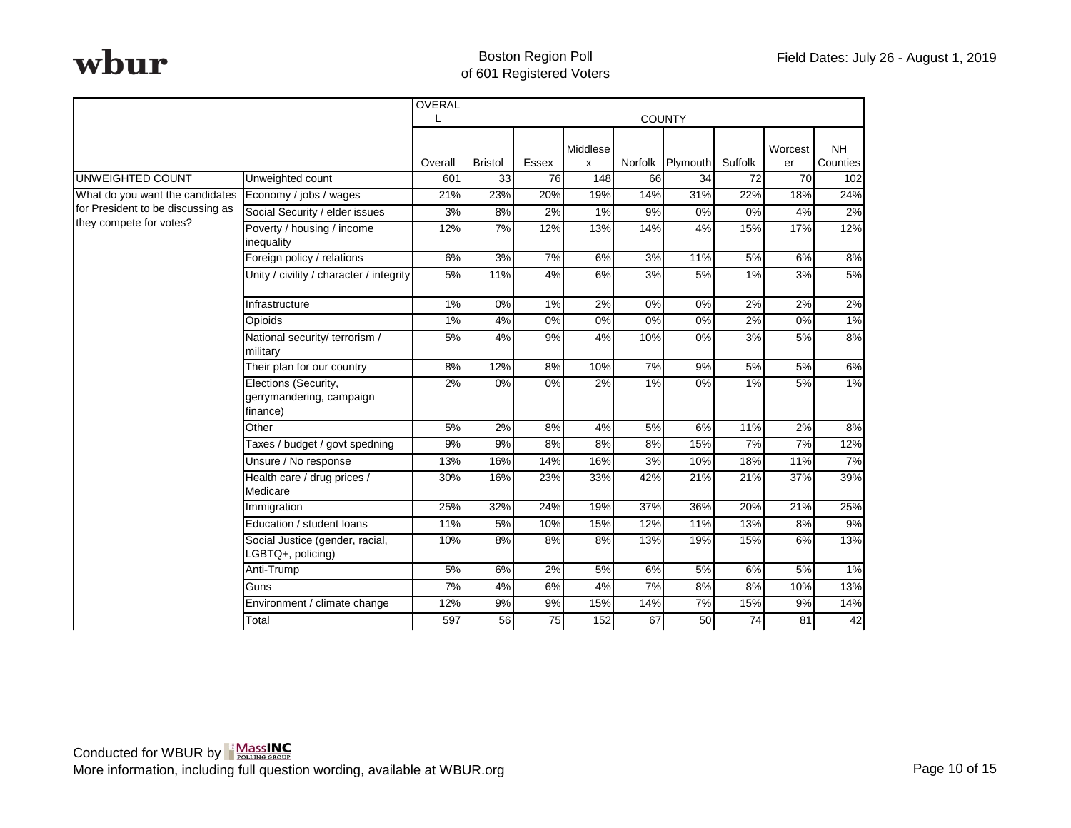|                                   |                                                              | OVERAL  |                |                  |                  |         |                  |                 |                 |           |
|-----------------------------------|--------------------------------------------------------------|---------|----------------|------------------|------------------|---------|------------------|-----------------|-----------------|-----------|
|                                   |                                                              |         |                |                  |                  |         | <b>COUNTY</b>    |                 |                 |           |
|                                   |                                                              |         |                |                  | Middlese         |         |                  |                 | Worcest         | <b>NH</b> |
|                                   |                                                              | Overall | <b>Bristol</b> | Essex            | X                | Norfolk | Plymouth         | Suffolk         | er              | Counties  |
| <b>UNWEIGHTED COUNT</b>           | Unweighted count                                             | 601     | 33             | 76               | $\overline{148}$ | 66      | 34               | $\overline{72}$ | $\overline{70}$ | 102       |
| What do you want the candidates   | Economy / jobs / wages                                       | 21%     | 23%            | 20%              | 19%              | 14%     | 31%              | 22%             | 18%             | 24%       |
| for President to be discussing as | Social Security / elder issues                               | 3%      | 8%             | 2%               | 1%               | 9%      | $0\%$            | 0%              | 4%              | $2\%$     |
| they compete for votes?           | Poverty / housing / income<br>inequality                     | 12%     | 7%             | 12%              | 13%              | 14%     | 4%               | 15%             | 17%             | 12%       |
|                                   | Foreign policy / relations                                   | 6%      | 3%             | 7%               | 6%               | 3%      | 11%              | 5%              | 6%              | 8%        |
|                                   | Unity / civility / character / integrity                     | 5%      | 11%            | 4%               | 6%               | 3%      | 5%               | 1%              | 3%              | 5%        |
|                                   | Infrastructure                                               | 1%      | 0%             | $1\%$            | 2%               | 0%      | $\overline{0\%}$ | 2%              | 2%              | 2%        |
|                                   | Opioids                                                      | 1%      | 4%             | $\overline{0\%}$ | $0\%$            | $0\%$   | $0\%$            | 2%              | $0\%$           | $1\%$     |
|                                   | National security/ terrorism /<br>military                   | 5%      | 4%             | 9%               | 4%               | 10%     | 0%               | 3%              | 5%              | 8%        |
|                                   | Their plan for our country                                   | 8%      | 12%            | 8%               | 10%              | 7%      | 9%               | 5%              | 5%              | 6%        |
|                                   | Elections (Security,<br>gerrymandering, campaign<br>finance) | 2%      | 0%             | 0%               | 2%               | 1%      | 0%               | 1%              | 5%              | 1%        |
|                                   | Other                                                        | 5%      | 2%             | 8%               | 4%               | 5%      | 6%               | 11%             | 2%              | 8%        |
|                                   | Taxes / budget / govt spedning                               | 9%      | 9%             | 8%               | 8%               | 8%      | 15%              | 7%              | 7%              | 12%       |
|                                   | Unsure / No response                                         | 13%     | 16%            | 14%              | 16%              | 3%      | 10%              | 18%             | 11%             | 7%        |
|                                   | Health care / drug prices /<br>Medicare                      | 30%     | 16%            | 23%              | 33%              | 42%     | 21%              | 21%             | 37%             | 39%       |
|                                   | Immigration                                                  | 25%     | 32%            | 24%              | 19%              | 37%     | 36%              | 20%             | 21%             | 25%       |
|                                   | Education / student loans                                    | 11%     | 5%             | 10%              | 15%              | 12%     | 11%              | 13%             | 8%              | 9%        |
|                                   | Social Justice (gender, racial,<br>LGBTQ+, policing)         | 10%     | 8%             | 8%               | 8%               | 13%     | 19%              | 15%             | 6%              | 13%       |
|                                   | Anti-Trump                                                   | 5%      | 6%             | 2%               | 5%               | 6%      | 5%               | 6%              | 5%              | 1%        |
|                                   | Guns                                                         | 7%      | 4%             | 6%               | 4%               | 7%      | 8%               | 8%              | 10%             | 13%       |
|                                   | Environment / climate change                                 | 12%     | 9%             | 9%               | 15%              | 14%     | 7%               | 15%             | 9%              | 14%       |
|                                   | Total                                                        | 597     | 56             | 75               | 152              | 67      | 50               | 74              | 81              | 42        |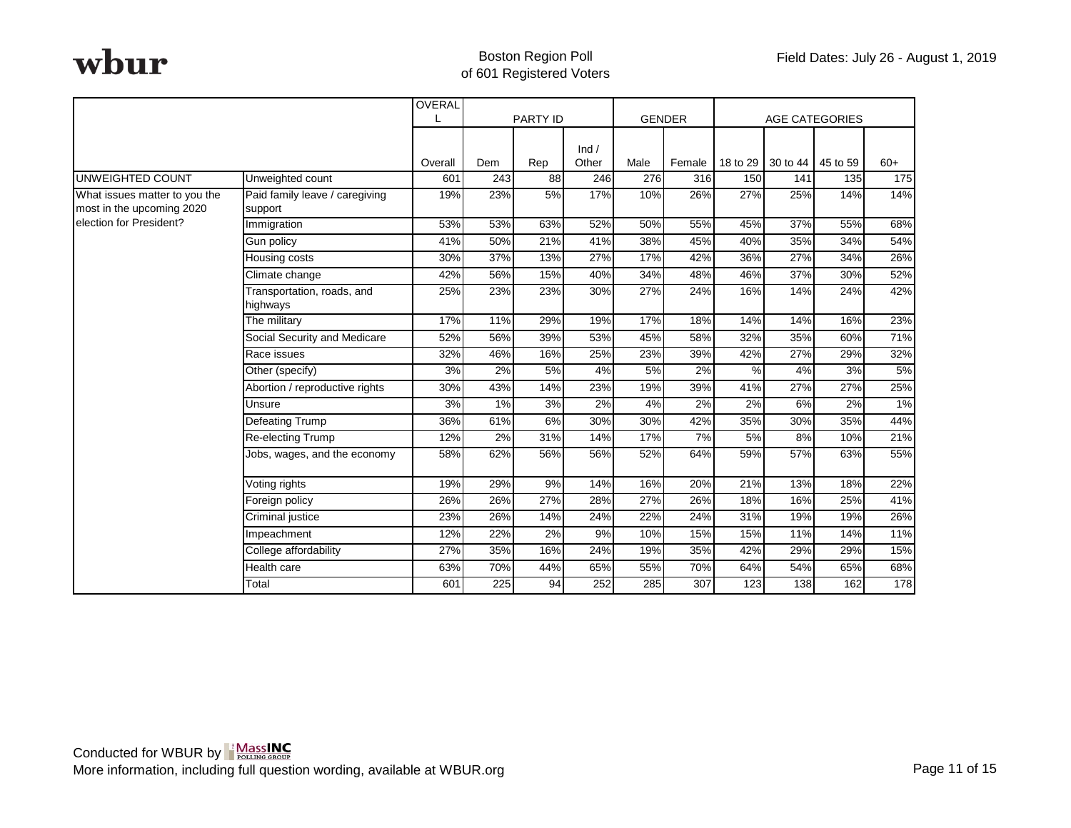|                               |                                        | OVERAL  |                  |          |                  |               |        |          |                   |                       |       |
|-------------------------------|----------------------------------------|---------|------------------|----------|------------------|---------------|--------|----------|-------------------|-----------------------|-------|
|                               |                                        |         |                  | PARTY ID |                  | <b>GENDER</b> |        |          |                   | <b>AGE CATEGORIES</b> |       |
|                               |                                        | Overall | Dem              | Rep      | Ind /<br>Other   | Male          | Female | 18 to 29 | 30 to 44 45 to 59 |                       | $60+$ |
| UNWEIGHTED COUNT              | Unweighted count                       | 601     | $\overline{243}$ | 88       | $\overline{246}$ | 276           | 316    | 150      | 141               | 135                   | 175   |
| What issues matter to you the | Paid family leave / caregiving         | 19%     | 23%              | 5%       | 17%              | 10%           | 26%    | 27%      | 25%               | 14%                   | 14%   |
| most in the upcoming 2020     | support                                |         |                  |          |                  |               |        |          |                   |                       |       |
| election for President?       | Immigration                            | 53%     | 53%              | 63%      | 52%              | 50%           | 55%    | 45%      | 37%               | 55%                   | 68%   |
|                               | Gun policy                             | 41%     | 50%              | 21%      | 41%              | 38%           | 45%    | 40%      | 35%               | 34%                   | 54%   |
|                               | Housing costs                          | 30%     | 37%              | 13%      | 27%              | 17%           | 42%    | 36%      | 27%               | 34%                   | 26%   |
|                               | Climate change                         | 42%     | 56%              | 15%      | 40%              | 34%           | 48%    | 46%      | 37%               | 30%                   | 52%   |
|                               | Transportation, roads, and<br>highways | 25%     | 23%              | 23%      | 30%              | 27%           | 24%    | 16%      | 14%               | 24%                   | 42%   |
|                               | The military                           | 17%     | 11%              | 29%      | 19%              | 17%           | 18%    | 14%      | 14%               | 16%                   | 23%   |
|                               | Social Security and Medicare           | 52%     | 56%              | 39%      | 53%              | 45%           | 58%    | 32%      | 35%               | 60%                   | 71%   |
|                               | Race issues                            | 32%     | 46%              | 16%      | 25%              | 23%           | 39%    | 42%      | 27%               | 29%                   | 32%   |
|                               | Other (specify)                        | 3%      | 2%               | 5%       | 4%               | 5%            | 2%     | $\%$     | 4%                | 3%                    | 5%    |
|                               | Abortion / reproductive rights         | 30%     | 43%              | 14%      | 23%              | 19%           | 39%    | 41%      | 27%               | 27%                   | 25%   |
|                               | Unsure                                 | 3%      | 1%               | 3%       | 2%               | 4%            | 2%     | 2%       | 6%                | 2%                    | 1%    |
|                               | <b>Defeating Trump</b>                 | 36%     | 61%              | 6%       | 30%              | 30%           | 42%    | 35%      | 30%               | 35%                   | 44%   |
|                               | Re-electing Trump                      | 12%     | 2%               | 31%      | 14%              | 17%           | 7%     | 5%       | 8%                | 10%                   | 21%   |
|                               | Jobs, wages, and the economy           | 58%     | 62%              | 56%      | 56%              | 52%           | 64%    | 59%      | 57%               | 63%                   | 55%   |
|                               | Voting rights                          | 19%     | 29%              | 9%       | 14%              | 16%           | 20%    | 21%      | 13%               | 18%                   | 22%   |
|                               | Foreign policy                         | 26%     | 26%              | 27%      | 28%              | 27%           | 26%    | 18%      | 16%               | 25%                   | 41%   |
|                               | Criminal justice                       | 23%     | 26%              | 14%      | 24%              | 22%           | 24%    | 31%      | 19%               | 19%                   | 26%   |
|                               | Impeachment                            | 12%     | 22%              | 2%       | 9%               | 10%           | 15%    | 15%      | 11%               | 14%                   | 11%   |
|                               | College affordability                  | 27%     | 35%              | 16%      | 24%              | 19%           | 35%    | 42%      | 29%               | 29%                   | 15%   |
|                               | Health care                            | 63%     | 70%              | 44%      | 65%              | 55%           | 70%    | 64%      | 54%               | 65%                   | 68%   |
|                               | Total                                  | 601     | 225              | 94       | 252              | 285           | 307    | 123      | 138               | 162                   | 178   |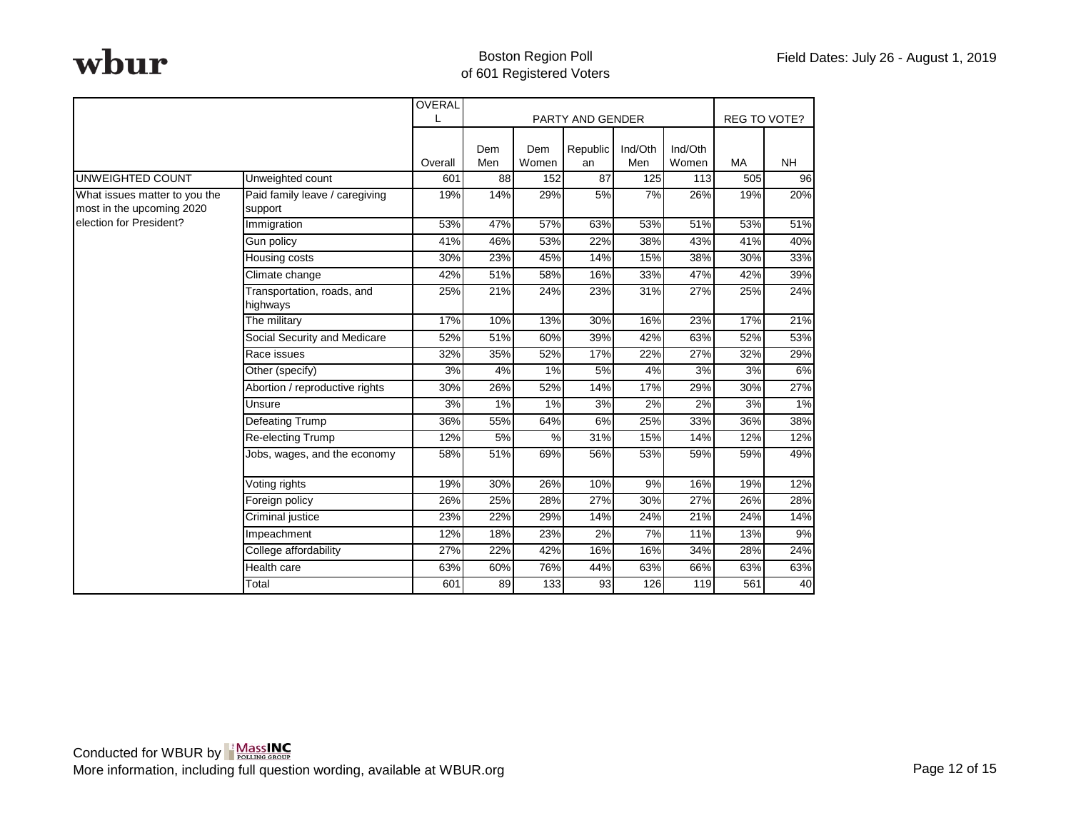|                                                            |                                           | OVERAL  |                 |              |                  |                |                  |                     |           |
|------------------------------------------------------------|-------------------------------------------|---------|-----------------|--------------|------------------|----------------|------------------|---------------------|-----------|
|                                                            |                                           |         |                 |              | PARTY AND GENDER |                |                  | <b>REG TO VOTE?</b> |           |
|                                                            |                                           | Overall | Dem<br>Men      | Dem<br>Women | Republic<br>an   | Ind/Oth<br>Men | Ind/Oth<br>Women | <b>MA</b>           | <b>NH</b> |
| <b>UNWEIGHTED COUNT</b>                                    | Unweighted count                          | 601     | $\overline{88}$ | 152          | 87               | 125            | 113              | 505                 | 96        |
| What issues matter to you the<br>most in the upcoming 2020 | Paid family leave / caregiving<br>support | 19%     | 14%             | 29%          | 5%               | 7%             | 26%              | 19%                 | 20%       |
| election for President?                                    | Immigration                               | 53%     | 47%             | 57%          | 63%              | 53%            | 51%              | 53%                 | 51%       |
|                                                            | Gun policy                                | 41%     | 46%             | 53%          | 22%              | 38%            | 43%              | 41%                 | 40%       |
|                                                            | Housing costs                             | 30%     | 23%             | 45%          | 14%              | 15%            | 38%              | 30%                 | 33%       |
|                                                            | Climate change                            | 42%     | 51%             | 58%          | 16%              | 33%            | 47%              | 42%                 | 39%       |
|                                                            | Transportation, roads, and<br>highways    | 25%     | 21%             | 24%          | 23%              | 31%            | 27%              | 25%                 | 24%       |
|                                                            | The military                              | 17%     | 10%             | 13%          | 30%              | 16%            | 23%              | 17%                 | 21%       |
|                                                            | Social Security and Medicare              | 52%     | 51%             | 60%          | 39%              | 42%            | 63%              | 52%                 | 53%       |
|                                                            | Race issues                               | 32%     | 35%             | 52%          | 17%              | 22%            | 27%              | 32%                 | 29%       |
|                                                            | Other (specify)                           | 3%      | 4%              | 1%           | 5%               | 4%             | 3%               | 3%                  | 6%        |
|                                                            | Abortion / reproductive rights            | 30%     | 26%             | 52%          | 14%              | 17%            | 29%              | 30%                 | 27%       |
|                                                            | Unsure                                    | 3%      | 1%              | 1%           | 3%               | 2%             | 2%               | 3%                  | 1%        |
|                                                            | <b>Defeating Trump</b>                    | 36%     | 55%             | 64%          | 6%               | 25%            | 33%              | 36%                 | 38%       |
|                                                            | Re-electing Trump                         | 12%     | 5%              | %            | 31%              | 15%            | 14%              | 12%                 | 12%       |
|                                                            | Jobs, wages, and the economy              | 58%     | 51%             | 69%          | 56%              | 53%            | 59%              | 59%                 | 49%       |
|                                                            | Voting rights                             | 19%     | 30%             | 26%          | 10%              | 9%             | 16%              | 19%                 | 12%       |
|                                                            | Foreign policy                            | 26%     | 25%             | 28%          | 27%              | 30%            | 27%              | 26%                 | 28%       |
|                                                            | Criminal justice                          | 23%     | 22%             | 29%          | 14%              | 24%            | 21%              | 24%                 | 14%       |
|                                                            | Impeachment                               | 12%     | 18%             | 23%          | 2%               | 7%             | 11%              | 13%                 | 9%        |
|                                                            | College affordability                     | 27%     | 22%             | 42%          | 16%              | 16%            | 34%              | 28%                 | 24%       |
|                                                            | Health care                               | 63%     | 60%             | 76%          | 44%              | 63%            | 66%              | 63%                 | 63%       |
|                                                            | Total                                     | 601     | 89              | 133          | 93               | 126            | 119              | 561                 | 40        |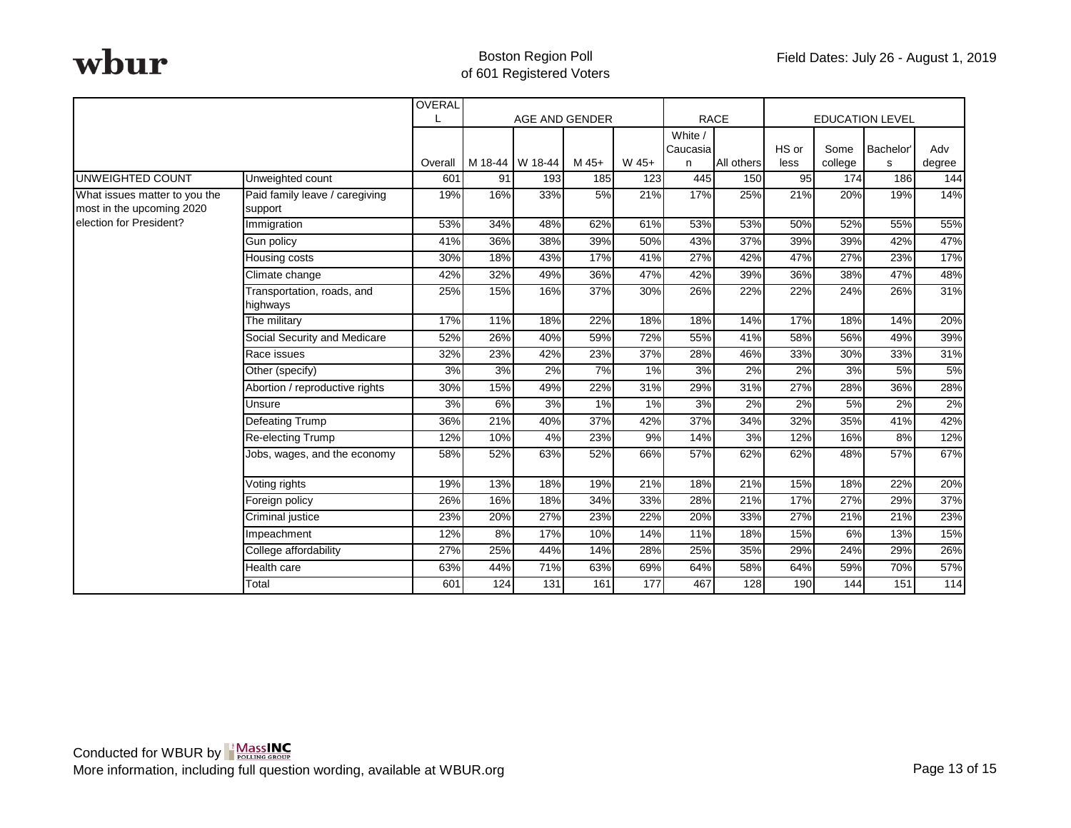|                                                                                       |                                           | OVERAL  |                |                 |       |                  |                     |                        |       |         |          |        |
|---------------------------------------------------------------------------------------|-------------------------------------------|---------|----------------|-----------------|-------|------------------|---------------------|------------------------|-------|---------|----------|--------|
|                                                                                       |                                           |         | AGE AND GENDER |                 |       | <b>RACE</b>      |                     | <b>EDUCATION LEVEL</b> |       |         |          |        |
|                                                                                       |                                           |         |                |                 |       |                  | White /<br>Caucasia |                        | HS or | Some    | Bachelor | Adv    |
|                                                                                       |                                           | Overall |                | M 18-44 W 18-44 | M 45+ | W 45+            | n                   | All others             | less  | college | s        | degree |
| UNWEIGHTED COUNT                                                                      | Unweighted count                          | 601     | 91             | 193             | 185   | $\overline{123}$ | 445                 | 150                    | 95    | 174     | 186      | 144    |
| What issues matter to you the<br>most in the upcoming 2020<br>election for President? | Paid family leave / caregiving<br>support | 19%     | 16%            | 33%             | 5%    | 21%              | 17%                 | 25%                    | 21%   | 20%     | 19%      | 14%    |
|                                                                                       | Immigration                               | 53%     | 34%            | 48%             | 62%   | 61%              | 53%                 | 53%                    | 50%   | 52%     | 55%      | 55%    |
|                                                                                       | Gun policy                                | 41%     | 36%            | 38%             | 39%   | 50%              | 43%                 | 37%                    | 39%   | 39%     | 42%      | 47%    |
|                                                                                       | Housing costs                             | 30%     | 18%            | 43%             | 17%   | 41%              | 27%                 | 42%                    | 47%   | 27%     | 23%      | 17%    |
|                                                                                       | Climate change                            | 42%     | 32%            | 49%             | 36%   | 47%              | 42%                 | 39%                    | 36%   | 38%     | 47%      | 48%    |
|                                                                                       | Transportation, roads, and<br>highways    | 25%     | 15%            | 16%             | 37%   | 30%              | 26%                 | 22%                    | 22%   | 24%     | 26%      | 31%    |
|                                                                                       | The military                              | 17%     | 11%            | 18%             | 22%   | 18%              | 18%                 | 14%                    | 17%   | 18%     | 14%      | 20%    |
|                                                                                       | Social Security and Medicare              | 52%     | 26%            | 40%             | 59%   | 72%              | 55%                 | 41%                    | 58%   | 56%     | 49%      | 39%    |
|                                                                                       | Race issues                               | 32%     | 23%            | 42%             | 23%   | 37%              | 28%                 | 46%                    | 33%   | 30%     | 33%      | 31%    |
|                                                                                       | Other (specify)                           | 3%      | 3%             | 2%              | 7%    | 1%               | 3%                  | 2%                     | 2%    | 3%      | 5%       | 5%     |
|                                                                                       | Abortion / reproductive rights            | 30%     | 15%            | 49%             | 22%   | 31%              | 29%                 | 31%                    | 27%   | 28%     | 36%      | 28%    |
|                                                                                       | Unsure                                    | 3%      | 6%             | 3%              | 1%    | 1%               | 3%                  | 2%                     | 2%    | 5%      | 2%       | 2%     |
|                                                                                       | <b>Defeating Trump</b>                    | 36%     | 21%            | 40%             | 37%   | 42%              | 37%                 | 34%                    | 32%   | 35%     | 41%      | 42%    |
|                                                                                       | Re-electing Trump                         | 12%     | 10%            | 4%              | 23%   | 9%               | 14%                 | 3%                     | 12%   | 16%     | 8%       | 12%    |
|                                                                                       | Jobs, wages, and the economy              | 58%     | 52%            | 63%             | 52%   | 66%              | 57%                 | 62%                    | 62%   | 48%     | 57%      | 67%    |
|                                                                                       | Voting rights                             | 19%     | 13%            | 18%             | 19%   | 21%              | 18%                 | 21%                    | 15%   | 18%     | 22%      | 20%    |
|                                                                                       | Foreign policy                            | 26%     | 16%            | 18%             | 34%   | 33%              | 28%                 | 21%                    | 17%   | 27%     | 29%      | 37%    |
|                                                                                       | Criminal justice                          | 23%     | 20%            | 27%             | 23%   | 22%              | 20%                 | 33%                    | 27%   | 21%     | 21%      | 23%    |
|                                                                                       | Impeachment                               | 12%     | 8%             | 17%             | 10%   | 14%              | 11%                 | 18%                    | 15%   | 6%      | 13%      | 15%    |
|                                                                                       | College affordability                     | 27%     | 25%            | 44%             | 14%   | 28%              | 25%                 | 35%                    | 29%   | 24%     | 29%      | 26%    |
|                                                                                       | Health care                               | 63%     | 44%            | 71%             | 63%   | 69%              | 64%                 | 58%                    | 64%   | 59%     | 70%      | 57%    |
|                                                                                       | Total                                     | 601     | 124            | 131             | 161   | 177              | 467                 | 128                    | 190   | 144     | 151      | 114    |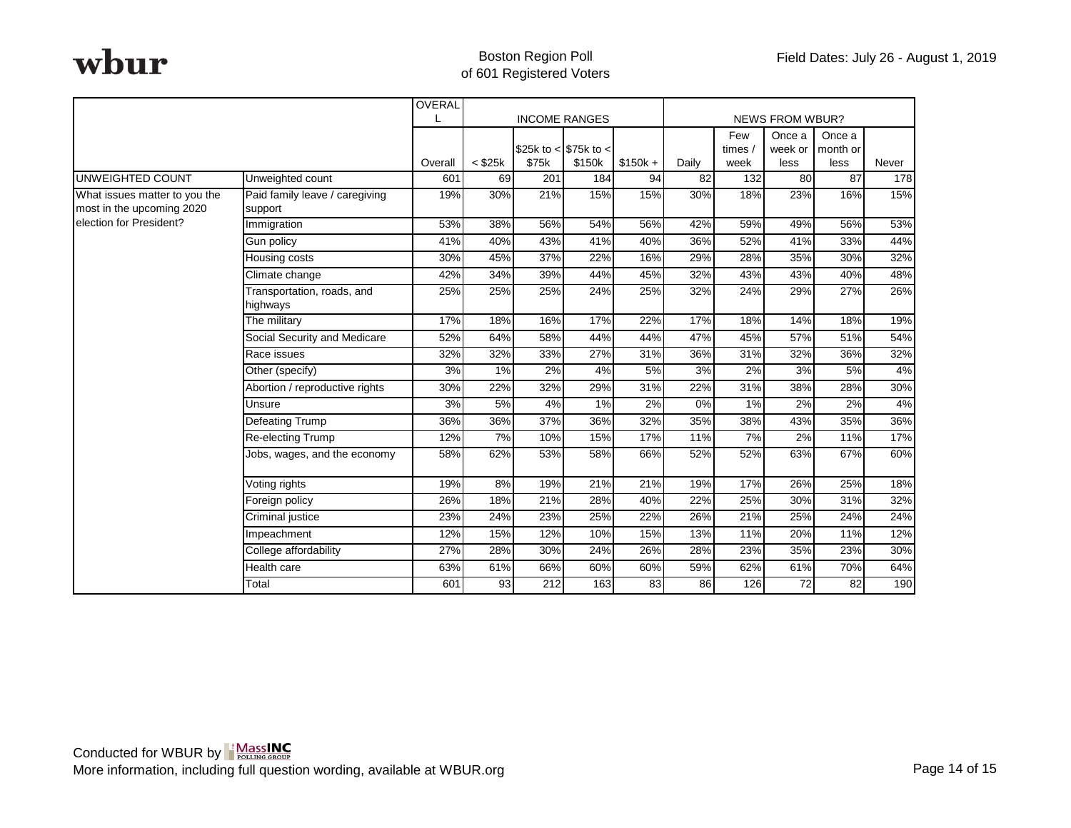|                                                                                       |                                        | OVERAL  | <b>INCOME RANGES</b> |       |                       | <b>NEWS FROM WBUR?</b> |                 |        |                  |                 |       |
|---------------------------------------------------------------------------------------|----------------------------------------|---------|----------------------|-------|-----------------------|------------------------|-----------------|--------|------------------|-----------------|-------|
|                                                                                       |                                        |         |                      |       |                       |                        | Few             |        | Once a<br>Once a |                 |       |
|                                                                                       |                                        |         |                      |       | \$25k to < \$75k to < |                        |                 | times/ | week or          | month or        |       |
|                                                                                       |                                        | Overall | $<$ \$25 $k$         | \$75k | \$150k                | $$150k +$              | Daily           | week   | less             | less            | Never |
| UNWEIGHTED COUNT                                                                      | Unweighted count                       | 601     | 69                   | 201   | 184                   | 94                     | $\overline{82}$ | 132    | 80               | $\overline{87}$ | 178   |
| What issues matter to you the<br>most in the upcoming 2020<br>election for President? | Paid family leave / caregiving         | 19%     | 30%                  | 21%   | 15%                   | 15%                    | 30%             | 18%    | 23%              | 16%             | 15%   |
|                                                                                       | support                                |         |                      |       |                       |                        |                 |        |                  |                 |       |
|                                                                                       | Immigration                            | 53%     | 38%                  | 56%   | 54%                   | 56%                    | 42%             | 59%    | 49%              | 56%             | 53%   |
|                                                                                       | Gun policy                             | 41%     | 40%                  | 43%   | 41%                   | 40%                    | 36%             | 52%    | 41%              | 33%             | 44%   |
|                                                                                       | Housing costs                          | 30%     | 45%                  | 37%   | 22%                   | 16%                    | 29%             | 28%    | 35%              | 30%             | 32%   |
|                                                                                       | Climate change                         | 42%     | 34%                  | 39%   | 44%                   | 45%                    | 32%             | 43%    | 43%              | 40%             | 48%   |
|                                                                                       | Transportation, roads, and<br>highways | 25%     | 25%                  | 25%   | 24%                   | 25%                    | 32%             | 24%    | 29%              | 27%             | 26%   |
|                                                                                       | The military                           | 17%     | 18%                  | 16%   | 17%                   | 22%                    | 17%             | 18%    | 14%              | 18%             | 19%   |
|                                                                                       | Social Security and Medicare           | 52%     | 64%                  | 58%   | 44%                   | 44%                    | 47%             | 45%    | 57%              | 51%             | 54%   |
|                                                                                       | Race issues                            | 32%     | 32%                  | 33%   | 27%                   | 31%                    | 36%             | 31%    | 32%              | 36%             | 32%   |
|                                                                                       | Other (specify)                        | 3%      | 1%                   | 2%    | 4%                    | 5%                     | 3%              | 2%     | 3%               | 5%              | 4%    |
|                                                                                       | Abortion / reproductive rights         | 30%     | 22%                  | 32%   | 29%                   | 31%                    | 22%             | 31%    | 38%              | 28%             | 30%   |
|                                                                                       | Unsure                                 | 3%      | 5%                   | 4%    | 1%                    | 2%                     | 0%              | 1%     | 2%               | 2%              | 4%    |
|                                                                                       | Defeating Trump                        | 36%     | 36%                  | 37%   | 36%                   | 32%                    | 35%             | 38%    | 43%              | 35%             | 36%   |
|                                                                                       | Re-electing Trump                      | 12%     | 7%                   | 10%   | 15%                   | 17%                    | 11%             | 7%     | 2%               | 11%             | 17%   |
|                                                                                       | Jobs, wages, and the economy           | 58%     | 62%                  | 53%   | 58%                   | 66%                    | 52%             | 52%    | 63%              | 67%             | 60%   |
|                                                                                       | Voting rights                          | 19%     | 8%                   | 19%   | 21%                   | 21%                    | 19%             | 17%    | 26%              | 25%             | 18%   |
|                                                                                       | Foreign policy                         | 26%     | 18%                  | 21%   | 28%                   | 40%                    | 22%             | 25%    | 30%              | 31%             | 32%   |
|                                                                                       | Criminal justice                       | 23%     | 24%                  | 23%   | 25%                   | 22%                    | 26%             | 21%    | 25%              | 24%             | 24%   |
|                                                                                       | Impeachment                            | 12%     | 15%                  | 12%   | 10%                   | 15%                    | 13%             | 11%    | 20%              | 11%             | 12%   |
|                                                                                       | College affordability                  | 27%     | 28%                  | 30%   | 24%                   | 26%                    | 28%             | 23%    | 35%              | 23%             | 30%   |
|                                                                                       | Health care                            | 63%     | 61%                  | 66%   | 60%                   | 60%                    | 59%             | 62%    | 61%              | 70%             | 64%   |
|                                                                                       | Total                                  | 601     | 93                   | 212   | 163                   | 83                     | 86              | 126    | 72               | 82              | 190   |